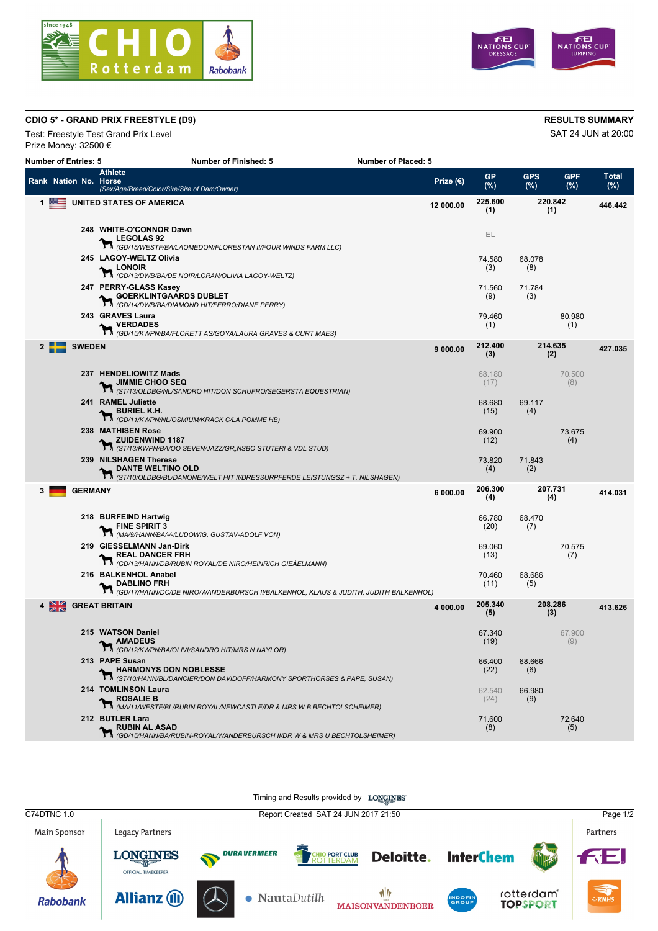



## **CDIO 5\* - GRAND PRIX FREESTYLE (D9) RESULTS SUMMARY**

Test: Freestyle Test Grand Prix Level **SAT 24 JUN** at 20:00 Prize Money: 32500 €

| <b>RESULTS SUMMA</b> |  |
|----------------------|--|

| <b>Number of Entries: 5</b> |                                 |                | <b>Number of Finished: 5</b>                                                                                                         | <b>Number of Placed: 5</b> |                  |                   |                   |                     |
|-----------------------------|---------------------------------|----------------|--------------------------------------------------------------------------------------------------------------------------------------|----------------------------|------------------|-------------------|-------------------|---------------------|
|                             | Rank Nation No. Horse           |                | Athlete<br>(Sex/Age/Breed/Color/Sire/Sire of Dam/Owner)                                                                              | Prize $(\epsilon)$         | <b>GP</b><br>(%) | <b>GPS</b><br>(%) | <b>GPF</b><br>(%) | <b>Total</b><br>(%) |
| 1                           |                                 |                | UNITED STATES OF AMERICA                                                                                                             | 12 000.00                  | 225.600<br>(1)   | 220.842<br>(1)    |                   | 446.442             |
|                             |                                 |                | 248 WHITE-O'CONNOR Dawn<br>$\_$ LEGOLAS 92<br><b>LEGOLAS 92</b><br>$\sum_{(GD/15/WESTF/BALAOMEDON/FLORESTAN II/FOUR WINDS FARM LLC)$ |                            | EL               |                   |                   |                     |
|                             |                                 |                | 245 LAGOY-WELTZ Olivia<br><b>LONOIR</b><br><b>Th</b> (GD/13/DWB/BA/DE NOIR/LORAN/OLIVIA LAGOY-WELTZ)                                 |                            | 74.580<br>(3)    | 68.078<br>(8)     |                   |                     |
|                             |                                 |                | 247 PERRY-GLASS Kasey<br><b>GOERKLINTGAARDS DUBLET</b><br><b>TA</b> (GD/14/DWB/BA/DIAMOND HIT/FERRO/DIANE PERRY)                     |                            | 71.560<br>(9)    | 71.784<br>(3)     |                   |                     |
|                             |                                 |                | 243 GRAVES Laura<br><b>VERDADES</b><br>$\sum_{(GD/15/KWPNBAFLORET)$ AS/GOYALAURA GRAVES & CURT MAES)                                 |                            | 79.460<br>(1)    |                   | 80.980<br>(1)     |                     |
|                             |                                 | <b>SWEDEN</b>  |                                                                                                                                      | 9000.00                    | 212.400<br>(3)   | 214.635<br>(2)    |                   | 427.035             |
|                             |                                 |                | 237 HENDELIOWITZ Mads<br><b>JIMMIE CHOO SEQ</b><br>${\cal H}_{(ST/13/OLDBG/NLSANDRO\ HITDON\ SCHUFRO/SEGERSTA\ EQUESTRIAN)}$         |                            | 68.180<br>(17)   |                   | 70.500<br>(8)     |                     |
|                             |                                 |                | 241 RAMEL Juliette<br>BURIEL K.H.<br>M <sub>GD/11/KWPN/NL/OSMIUM/KRACK C/LA POMME HB)</sub>                                          |                            | 68.680<br>(15)   | 69.117<br>(4)     |                   |                     |
|                             |                                 |                | 238 MATHISEN Rose<br><b>X ZUIDENWIND 1187</b><br><b>M</b> (ST/13/KWPN/BA/OO SEVEN/JAZZ/GR, NSBO STUTERI & VDL STUD)                  |                            | 69.900<br>(12)   |                   | 73.675<br>(4)     |                     |
|                             |                                 |                | 239 NILSHAGEN Therese<br><b>DANTE WELTINO OLD</b><br>T ST/10/OLDBG/BL/DANONE/WELT HIT II/DRESSURPFERDE LEISTUNGSZ + T. NILSHAGEN)    |                            | 73.820<br>(4)    | 71.843<br>(2)     |                   |                     |
| 3                           |                                 | <b>GERMANY</b> |                                                                                                                                      | 6 000.00                   | 206.300<br>(4)   | 207.731<br>(4)    |                   | 414.031             |
|                             |                                 |                | 218 BURFEIND Hartwig<br><b>FINE SPIRIT 3</b><br><b>TINE SPIRITS</b><br><b>M</b> (MA/9/HANN/BA/-/LUDOWIG, GUSTAV-ADOLF VON)           |                            | 66.780<br>(20)   | 68.470<br>(7)     |                   |                     |
|                             |                                 |                | 219 GIESSELMANN Jan-Dirk<br>REAL DANCER FRH<br>(GD/13/HANN/DB/RUBIN ROYAL/DE NIRO/HEINRICH GIEÁELMANN)                               |                            | 69.060<br>(13)   |                   | 70.575<br>(7)     |                     |
|                             |                                 |                | 216 BALKENHOL Anabel<br><b>DABLINO FRH</b><br>1. (GD/17/HANN/DC/DE NIRO/WANDERBURSCH II/BALKENHOL, KLAUS & JUDITH, JUDITH BALKENHOL) |                            | 70.460<br>(11)   | 68.686<br>(5)     |                   |                     |
|                             | $4 \frac{\text{NE}}{\text{NE}}$ |                | <b>GREAT BRITAIN</b>                                                                                                                 | 4 000.00                   | 205.340<br>(5)   | 208.286<br>(3)    |                   | 413.626             |
|                             |                                 |                | 215 WATSON Daniel<br><b>AMADEUS</b><br><b>T M</b> (GD/12/KWPN/BA/OLIVI/SANDRO HIT/MRS N NAYLOR)                                      |                            | 67.340<br>(19)   |                   | 67.900<br>(9)     |                     |
|                             |                                 |                | 213 PAPE Susan<br><b>HARMONYS DON NOBLESSE</b><br>1 (ST/10/HANN/BL/DANCIER/DON DAVIDOFF/HARMONY SPORTHORSES & PAPE, SUSAN)           |                            | 66.400<br>(22)   | 68.666<br>(6)     |                   |                     |
|                             |                                 |                | 214 TOMLINSON Laura<br>$\sum_{(MA/11/MESTF/BL/RUBIN\,ROYALNEWCASTLEDR$ & MRS W B BECHTOLSCHEIMER)                                    |                            | 62.540<br>(24)   | 66.980<br>(9)     |                   |                     |
|                             |                                 |                | 212 BUTLER Lara<br>RUBIN AL ASAD<br>(GD/15/HANN/BA/RUBIN-ROYAL/WANDERBURSCH II/DR W & MRS U BECHTOLSHEIMER)                          |                            | 71.600<br>(8)    |                   | 72.640<br>(5)     |                     |